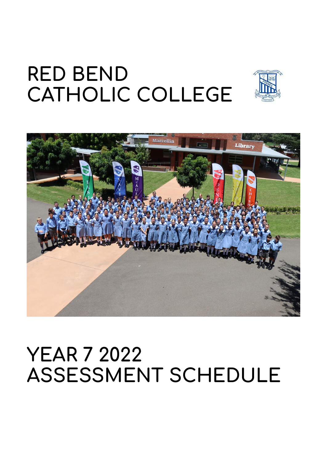# **RED BEND CATHOLIC COLLEGE**





# **YEAR 7 2022 ASSESSMENT SCHEDULE**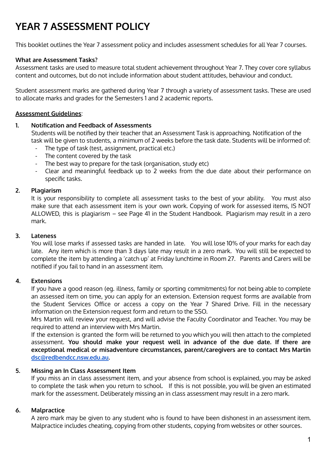# **YEAR 7 ASSESSMENT POLICY**

This booklet outlines the Year 7 assessment policy and includes assessment schedules for all Year 7 courses.

### **What are Assessment Tasks?**

Assessment tasks are used to measure total student achievement throughout Year 7. They cover core syllabus content and outcomes, but do not include information about student attitudes, behaviour and conduct.

Student assessment marks are gathered during Year 7 through a variety of assessment tasks. These are used to allocate marks and grades for the Semesters 1 and 2 academic reports.

#### **Assessment Guidelines**:

#### **1. Notification and Feedback of Assessments**

Students will be notified by their teacher that an Assessment Task is approaching. Notification of the task will be given to students, a minimum of 2 weeks before the task date. Students will be informed of:

- The type of task (test, assignment, practical etc.)
- The content covered by the task
- The best way to prepare for the task (organisation, study etc)
- Clear and meaningful feedback up to 2 weeks from the due date about their performance on specific tasks.

#### **2. Plagiarism**

It is your responsibility to complete all assessment tasks to the best of your ability. You must also make sure that each assessment item is your own work. Copying of work for assessed items, IS NOT ALLOWED, this is plagiarism – see Page 41 in the Student Handbook. Plagiarism may result in a zero mark.

### **3. Lateness**

You will lose marks if assessed tasks are handed in late. You will lose 10% of your marks for each day late. Any item which is more than 3 days late may result in a zero mark. You will still be expected to complete the item by attending a 'catch up' at Friday lunchtime in Room 27. Parents and Carers will be notified if you fail to hand in an assessment item.

## **4. Extensions**

If you have a good reason (eg. illness, family or sporting commitments) for not being able to complete an assessed item on time, you can apply for an extension. Extension request forms are available from the Student Services Office or access a copy on the Year 7 Shared Drive. Fill in the necessary information on the Extension request form and return to the SSO.

Mrs Martin will review your request, and will advise the Faculty Coordinator and Teacher. You may be required to attend an interview with Mrs Martin.

If the extension is granted the form will be returned to you which you will then attach to the completed assessment. **You should make your request well in advance of the due date. If there are exceptional medical or misadventure circumstances, parent/caregivers are to contact Mrs Martin [dsc@redbendcc.nsw.edu.au.](mailto:dsc@redbendcc.nsw.edu.au)**

### **5. Missing an In Class Assessment Item**

If you miss an in class assessment item, and your absence from school is explained, you may be asked to complete the task when you return to school. If this is not possible, you will be given an estimated mark for the assessment. Deliberately missing an in class assessment may result in a zero mark.

### **6. Malpractice**

A zero mark may be given to any student who is found to have been dishonest in an assessment item. Malpractice includes cheating, copying from other students, copying from websites or other sources.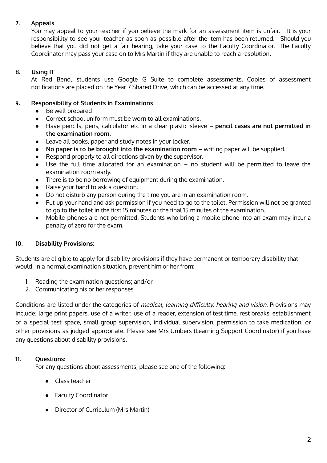## **7. Appeals**

You may appeal to your teacher if you believe the mark for an assessment item is unfair. It is your responsibility to see your teacher as soon as possible after the item has been returned. Should you believe that you did not get a fair hearing, take your case to the Faculty Coordinator. The Faculty Coordinator may pass your case on to Mrs Martin if they are unable to reach a resolution.

## **8. Using IT**

At Red Bend, students use Google G Suite to complete assessments. Copies of assessment notifications are placed on the Year 7 Shared Drive, which can be accessed at any time.

## **9. Responsibility of Students in Examinations**

- Be well prepared
- Correct school uniform must be worn to all examinations.
- Have pencils, pens, calculator etc in a clear plastic sleeve **pencil cases are not permitted in the examination room.**
- Leave all books, paper and study notes in your locker.
- **No paper is to be brought into the examination room** writing paper will be supplied.
- Respond properly to all directions given by the supervisor.
- Use the full time allocated for an examination no student will be permitted to leave the examination room early.
- There is to be no borrowing of equipment during the examination.
- Raise your hand to ask a question.
- Do not disturb any person during the time you are in an examination room.
- Put up your hand and ask permission if you need to go to the toilet. Permission will not be granted to go to the toilet in the first 15 minutes or the final 15 minutes of the examination.
- Mobile phones are not permitted. Students who bring a mobile phone into an exam may incur a penalty of zero for the exam.

## **10. Disability Provisions:**

Students are eligible to apply for disability provisions if they have permanent or temporary disability that would, in a normal examination situation, prevent him or her from:

- 1. Reading the examination questions; and/or
- 2. Communicating his or her responses

Conditions are listed under the categories of medical, learning difficulty, hearing and vision. Provisions may include; large print papers, use of a writer, use of a reader, extension of test time, rest breaks, establishment of a special test space, small group supervision, individual supervision, permission to take medication, or other provisions as judged appropriate. Please see Mrs Umbers (Learning Support Coordinator) if you have any questions about disability provisions.

## **11. Questions:**

For any questions about assessments, please see one of the following:

- Class teacher
- Faculty Coordinator
- Director of Curriculum (Mrs Martin)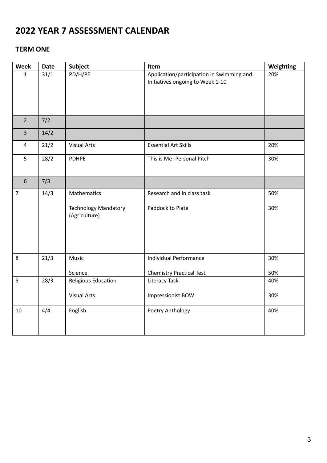# **2022 YEAR 7 ASSESSMENT CALENDAR**

## **TERM ONE**

| <b>Week</b>    | <b>Date</b>                                                                                           | <b>Subject</b>                                              | Item                                                                          | Weighting  |
|----------------|-------------------------------------------------------------------------------------------------------|-------------------------------------------------------------|-------------------------------------------------------------------------------|------------|
| $\mathbf{1}$   | 31/1                                                                                                  | PD/H/PE                                                     | Application/participation in Swimming and<br>Initiatives ongoing to Week 1-10 | 20%        |
| $\overline{2}$ | 7/2                                                                                                   |                                                             |                                                                               |            |
| $\overline{3}$ | 14/2                                                                                                  |                                                             |                                                                               |            |
| $\overline{4}$ | 21/2                                                                                                  | <b>Visual Arts</b>                                          | <b>Essential Art Skills</b>                                                   | 20%        |
| 5              | 28/2                                                                                                  | <b>PDHPE</b>                                                | This is Me- Personal Pitch                                                    |            |
| $6\,$          | 7/3                                                                                                   |                                                             |                                                                               |            |
| $\overline{7}$ | 14/3                                                                                                  | Mathematics<br><b>Technology Mandatory</b><br>(Agriculture) | Research and in class task<br>Paddock to Plate                                | 50%<br>30% |
| 8              | 21/3                                                                                                  | Music<br>Science                                            | Individual Performance<br><b>Chemistry Practical Test</b>                     | 30%<br>50% |
| 9              | 28/3<br>Religious Education<br><b>Literacy Task</b><br><b>Visual Arts</b><br><b>Impressionist BOW</b> |                                                             | 40%<br>30%                                                                    |            |
| 10             | 4/4                                                                                                   | English                                                     | Poetry Anthology                                                              | 40%        |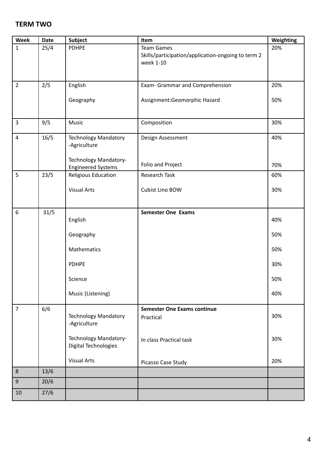## **TERM TWO**

| Week           | Date | <b>Subject</b>                                     | Item                                                                                 | Weighting |
|----------------|------|----------------------------------------------------|--------------------------------------------------------------------------------------|-----------|
| $\mathbf{1}$   | 25/4 | <b>PDHPE</b>                                       | <b>Team Games</b><br>Skills/participation/application-ongoing to term 2<br>week 1-10 | 20%       |
| $\overline{2}$ | 2/5  | English                                            | Exam- Grammar and Comprehension                                                      | 20%       |
|                |      | Geography                                          | Assignment:Geomorphic Hazard                                                         | 50%       |
| $\overline{3}$ | 9/5  | Music                                              | Composition                                                                          | 30%       |
| $\overline{4}$ | 16/5 | <b>Technology Mandatory</b><br>-Agriculture        | Design Assessment                                                                    | 40%       |
|                |      | Technology Mandatory-<br><b>Engineered Systems</b> | Folio and Project                                                                    | 70%       |
| 5              | 23/5 | Religious Education                                | Research Task                                                                        | 60%       |
|                |      | <b>Visual Arts</b>                                 | Cubist Lino BOW                                                                      | 30%       |
| $6\,$          | 31/5 |                                                    | <b>Semester One Exams</b>                                                            |           |
|                |      | English                                            |                                                                                      | 40%       |
|                |      | Geography                                          |                                                                                      | 50%       |
|                |      | Mathematics                                        |                                                                                      | 50%       |
|                |      | <b>PDHPE</b>                                       |                                                                                      | 30%       |
|                |      | Science                                            |                                                                                      | 50%       |
|                |      | Music (Listening)                                  |                                                                                      | 40%       |
| $\overline{7}$ | 6/6  |                                                    | <b>Semester One Exams continue</b>                                                   |           |
|                |      | <b>Technology Mandatory</b><br>-Agriculture        | Practical                                                                            | 30%       |
|                |      | Technology Mandatory-<br>Digital Technologies      | In class Practical task                                                              | 30%       |
|                |      | <b>Visual Arts</b>                                 | Picasso Case Study                                                                   | 20%       |
| $8\phantom{1}$ | 13/6 |                                                    |                                                                                      |           |
| $9\,$          | 20/6 |                                                    |                                                                                      |           |
| 10             | 27/6 |                                                    |                                                                                      |           |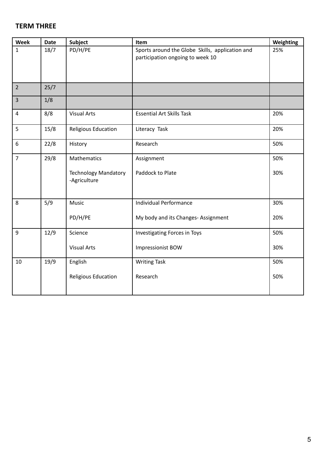## **TERM THREE**

| Week           | <b>Date</b> | <b>Subject</b>                              | Item                                                                                | Weighting |
|----------------|-------------|---------------------------------------------|-------------------------------------------------------------------------------------|-----------|
| $\mathbf{1}$   | 18/7        | PD/H/PE                                     | Sports around the Globe Skills, application and<br>participation ongoing to week 10 | 25%       |
|                |             |                                             |                                                                                     |           |
| $\overline{2}$ | 25/7        |                                             |                                                                                     |           |
| $\overline{3}$ | 1/8         |                                             |                                                                                     |           |
| $\overline{4}$ | 8/8         | <b>Visual Arts</b>                          | <b>Essential Art Skills Task</b>                                                    | 20%       |
| 5              | 15/8        | Religious Education                         | Literacy Task                                                                       | 20%       |
| 6              | 22/8        | History                                     | Research                                                                            | 50%       |
| $\overline{7}$ | 29/8        | Mathematics                                 | Assignment                                                                          | 50%       |
|                |             | <b>Technology Mandatory</b><br>-Agriculture | Paddock to Plate                                                                    | 30%       |
| 8              | 5/9         | Music                                       | Individual Performance                                                              | 30%       |
|                |             | PD/H/PE                                     | My body and its Changes- Assignment                                                 | 20%       |
| 9              | 12/9        | Science                                     | Investigating Forces in Toys                                                        | 50%       |
|                |             | <b>Visual Arts</b>                          | <b>Impressionist BOW</b>                                                            | 30%       |
| 10             | 19/9        | English                                     | <b>Writing Task</b>                                                                 | 50%       |
|                |             | Religious Education                         | Research                                                                            | 50%       |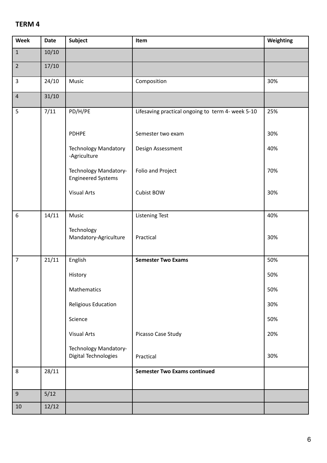## **TERM 4**

| Week             | <b>Date</b> | <b>Subject</b>                                       | Item                                              | Weighting |
|------------------|-------------|------------------------------------------------------|---------------------------------------------------|-----------|
| $1\,$            | 10/10       |                                                      |                                                   |           |
| $\overline{2}$   | 17/10       |                                                      |                                                   |           |
| 3                | 24/10       | Music                                                | Composition                                       | 30%       |
| $\sqrt{4}$       | 31/10       |                                                      |                                                   |           |
| 5                | 7/11        | PD/H/PE                                              | Lifesaving practical ongoing to term 4- week 5-10 | 25%       |
|                  |             | <b>PDHPE</b>                                         | Semester two exam                                 | 30%       |
|                  |             | <b>Technology Mandatory</b><br>-Agriculture          | Design Assessment                                 | 40%       |
|                  |             | Technology Mandatory-<br><b>Engineered Systems</b>   | Folio and Project                                 | 70%       |
|                  |             | <b>Visual Arts</b>                                   | <b>Cubist BOW</b>                                 | 30%       |
| $\boldsymbol{6}$ | 14/11       | Music                                                | <b>Listening Test</b>                             | 40%       |
|                  |             | Technology<br>Mandatory-Agriculture                  | Practical                                         | 30%       |
| $\overline{7}$   | 21/11       | English                                              | <b>Semester Two Exams</b>                         | 50%       |
|                  |             | History                                              |                                                   | 50%       |
|                  |             | Mathematics                                          |                                                   | 50%       |
|                  |             | Religious Education                                  |                                                   | 30%       |
|                  |             | Science                                              |                                                   | 50%       |
|                  |             | <b>Visual Arts</b>                                   | Picasso Case Study                                | 20%       |
|                  |             | Technology Mandatory-<br><b>Digital Technologies</b> | Practical                                         | 30%       |
| 8                | 28/11       |                                                      | <b>Semester Two Exams continued</b>               |           |
| $9\,$            | 5/12        |                                                      |                                                   |           |
| $10\,$           | 12/12       |                                                      |                                                   |           |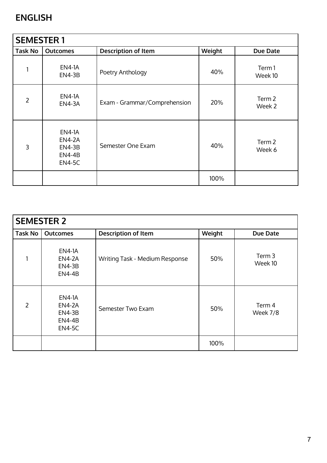# **ENGLISH**

| <b>SEMESTER 1</b> |                                                                            |                              |        |                  |  |
|-------------------|----------------------------------------------------------------------------|------------------------------|--------|------------------|--|
| <b>Task No</b>    | <b>Outcomes</b>                                                            | <b>Description of Item</b>   | Weight | Due Date         |  |
|                   | <b>EN4-1A</b><br><b>EN4-3B</b>                                             | Poetry Anthology             | 40%    | Term1<br>Week 10 |  |
| $\overline{2}$    | <b>EN4-1A</b><br><b>EN4-3A</b>                                             | Exam - Grammar/Comprehension | 20%    | Term 2<br>Week 2 |  |
| 3                 | <b>EN4-1A</b><br><b>EN4-2A</b><br><b>EN4-3B</b><br>EN4-4B<br><b>EN4-5C</b> | Semester One Exam            | 40%    | Term 2<br>Week 6 |  |
|                   |                                                                            |                              | 100%   |                  |  |

| <b>SEMESTER 2</b> |                                                                                   |                                |        |                              |  |
|-------------------|-----------------------------------------------------------------------------------|--------------------------------|--------|------------------------------|--|
| <b>Task No</b>    | <b>Outcomes</b>                                                                   | <b>Description of Item</b>     | Weight | Due Date                     |  |
|                   | <b>EN4-1A</b><br><b>EN4-2A</b><br><b>EN4-3B</b><br><b>EN4-4B</b>                  | Writing Task - Medium Response | 50%    | Term <sub>3</sub><br>Week 10 |  |
| $\overline{2}$    | <b>EN4-1A</b><br><b>EN4-2A</b><br><b>EN4-3B</b><br><b>EN4-4B</b><br><b>EN4-5C</b> | Semester Two Exam              | 50%    | Term 4<br>Week 7/8           |  |
|                   |                                                                                   |                                | 100%   |                              |  |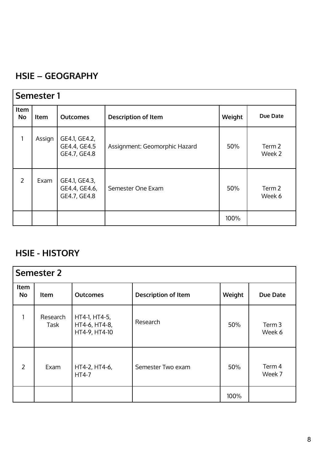## **HSIE – GEOGRAPHY**

| <b>Semester 1</b> |        |                                                |                               |        |                  |
|-------------------|--------|------------------------------------------------|-------------------------------|--------|------------------|
| Item<br><b>No</b> | Item   | <b>Outcomes</b>                                | <b>Description of Item</b>    | Weight | Due Date         |
| 1                 | Assign | GE4.1, GE4.2,<br>GE4.4, GE4.5<br>GE4.7, GE4.8  | Assignment: Geomorphic Hazard | 50%    | Term 2<br>Week 2 |
| 2                 | Exam   | GE4.1, GE4.3,<br>GE4.4, GE4.6,<br>GE4.7, GE4.8 | Semester One Exam             | 50%    | Term 2<br>Week 6 |
|                   |        |                                                |                               | 100%   |                  |

# **HSIE - HISTORY**

| <b>Semester 2</b> |                  |                                                 |                            |        |                  |
|-------------------|------------------|-------------------------------------------------|----------------------------|--------|------------------|
| Item<br><b>No</b> | <b>Item</b>      | <b>Outcomes</b>                                 | <b>Description of Item</b> | Weight | Due Date         |
|                   | Research<br>Task | HT4-1, HT4-5,<br>HT4-6, HT4-8,<br>HT4-9, HT4-10 | Research                   | 50%    | Term 3<br>Week 6 |
| 2                 | Exam             | HT4-2, HT4-6,<br><b>HT4-7</b>                   | Semester Two exam          | 50%    | Term 4<br>Week 7 |
|                   |                  |                                                 |                            | 100%   |                  |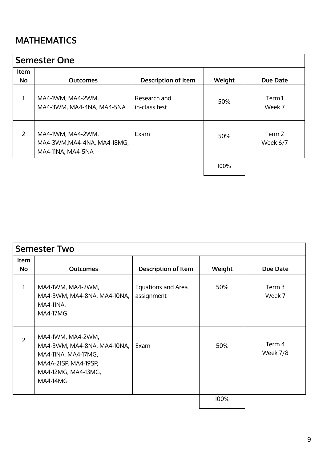# **MATHEMATICS**

| <b>Semester One</b> |                                                                       |                               |        |                    |  |
|---------------------|-----------------------------------------------------------------------|-------------------------------|--------|--------------------|--|
| Item                |                                                                       |                               |        |                    |  |
| No                  | <b>Outcomes</b>                                                       | <b>Description of Item</b>    | Weight | Due Date           |  |
|                     | MA4-1WM, MA4-2WM,<br>MA4-3WM, MA4-4NA, MA4-5NA                        | Research and<br>in-class test | 50%    | Term 1<br>Week 7   |  |
| $\overline{2}$      | MA4-1WM, MA4-2WM,<br>MA4-3WM, MA4-4NA, MA4-18MG,<br>MA4-11NA, MA4-5NA | Exam                          | 50%    | Term 2<br>Week 6/7 |  |
|                     |                                                                       |                               | 100%   |                    |  |

| <b>Semester Two</b> |                                                                                                                                           |                                  |        |                             |  |
|---------------------|-------------------------------------------------------------------------------------------------------------------------------------------|----------------------------------|--------|-----------------------------|--|
| Item<br><b>No</b>   | <b>Outcomes</b>                                                                                                                           | <b>Description of Item</b>       | Weight | Due Date                    |  |
|                     |                                                                                                                                           |                                  |        |                             |  |
|                     | MA4-1WM, MA4-2WM,<br>MA4-3WM, MA4-8NA, MA4-10NA,<br><b>MA4-11NA,</b><br><b>MA4-17MG</b>                                                   | Equations and Area<br>assignment | 50%    | Term <sub>3</sub><br>Week 7 |  |
| $\overline{2}$      | MA4-1WM, MA4-2WM,<br>MA4-3WM, MA4-8NA, MA4-10NA,<br>MA4-11NA, MA4-17MG,<br>MA4A-21SP, MA4-19SP,<br>MA4-12MG, MA4-13MG,<br><b>MA4-14MG</b> | Exam                             | 50%    | Term 4<br>Week 7/8          |  |
|                     |                                                                                                                                           |                                  | 100%   |                             |  |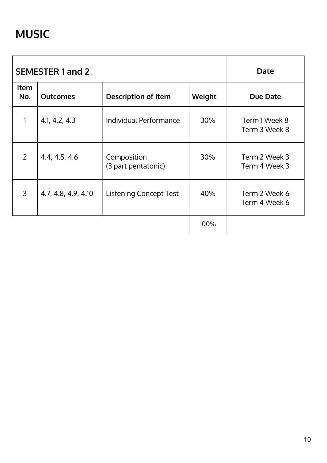|                | <b>SEMESTER 1 and 2</b> | Date                               |        |                                |
|----------------|-------------------------|------------------------------------|--------|--------------------------------|
| Item<br>No.    | <b>Outcomes</b>         | <b>Description of Item</b>         | Weight | <b>Due Date</b>                |
|                | 4.1, 4.2, 4.3           | Individual Performance             | 30%    | Term 1 Week 8<br>Term 3 Week 8 |
| $\overline{2}$ | 4.4, 4.5, 4.6           | Composition<br>(3 part pentatonic) | 30%    | Term 2 Week 3<br>Term 4 Week 3 |
| 3              | 4.7, 4.8, 4.9, 4.10     | <b>Listening Concept Test</b>      | 40%    | Term 2 Week 6<br>Term 4 Week 6 |
|                |                         |                                    | 100%   |                                |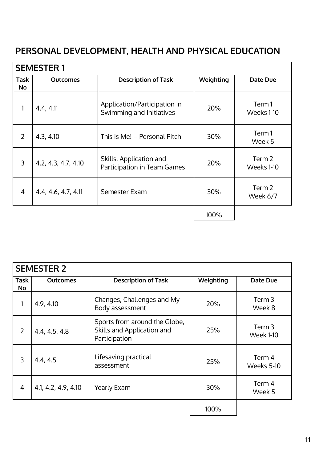# **PERSONAL DEVELOPMENT, HEALTH AND PHYSICAL EDUCATION**

| <b>SEMESTER 1</b>        |                     |                                                          |           |                      |  |
|--------------------------|---------------------|----------------------------------------------------------|-----------|----------------------|--|
| <b>Task</b><br><b>No</b> | <b>Outcomes</b>     | <b>Description of Task</b>                               | Weighting | Date Due             |  |
| 1                        | 4.4, 4.11           | Application/Participation in<br>Swimming and Initiatives | 20%       | Term 1<br>Weeks 1-10 |  |
| $\mathcal{P}$            | 4.3, 4.10           | This is Me! - Personal Pitch                             | 30%       | Term1<br>Week 5      |  |
| 3                        | 4.2, 4.3, 4.7, 4.10 | Skills, Application and<br>Participation in Team Games   | 20%       | Term 2<br>Weeks 1-10 |  |
| $\overline{4}$           | 4.4, 4.6, 4.7, 4.11 | Semester Exam                                            | 30%       | Term 2<br>Week 6/7   |  |
|                          |                     |                                                          | 100%      |                      |  |

| <b>SEMESTER 2</b>        |                     |                                                                              |           |                            |  |
|--------------------------|---------------------|------------------------------------------------------------------------------|-----------|----------------------------|--|
| <b>Task</b><br><b>No</b> | <b>Outcomes</b>     | <b>Description of Task</b>                                                   | Weighting | Date Due                   |  |
| $\mathbf{1}$             | 4.9, 4.10           | Changes, Challenges and My<br>Body assessment                                | 20%       | Term 3<br>Week 8           |  |
| $\overline{2}$           | 4.4, 4.5, 4.8       | Sports from around the Globe,<br>Skills and Application and<br>Participation | 25%       | Term 3<br><b>Week 1-10</b> |  |
| 3                        | 4.4, 4.5            | Lifesaving practical<br>assessment                                           | 25%       | Term 4<br>Weeks 5-10       |  |
| $\overline{4}$           | 4.1, 4.2, 4.9, 4.10 | <b>Yearly Exam</b>                                                           | 30%       | Term 4<br>Week 5           |  |
|                          |                     |                                                                              | 100%      |                            |  |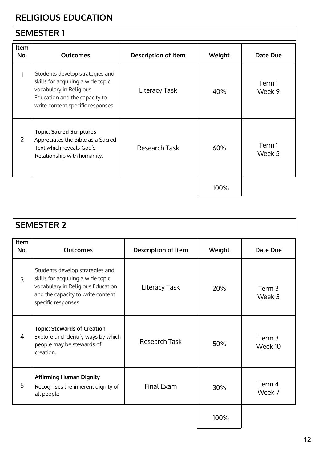# **RELIGIOUS EDUCATION**

# **SEMESTER 1**

| Item<br>No.    | <b>Outcomes</b>                                                                                                                                                      | <b>Description of Item</b> | Weight | Date Due         |
|----------------|----------------------------------------------------------------------------------------------------------------------------------------------------------------------|----------------------------|--------|------------------|
|                | Students develop strategies and<br>skills for acquiring a wide topic<br>vocabulary in Religious<br>Education and the capacity to<br>write content specific responses | <b>Literacy Task</b>       | 40%    | Term 1<br>Week 9 |
| $\overline{2}$ | <b>Topic: Sacred Scriptures</b><br>Appreciates the Bible as a Sacred<br>Text which reveals God's<br>Relationship with humanity.                                      | Research Task              | 60%    | Term 1<br>Week 5 |
|                |                                                                                                                                                                      |                            | 100%   |                  |

| <b>SEMESTER 2</b>  |                                                                                                                                                                      |                            |        |                   |  |  |
|--------------------|----------------------------------------------------------------------------------------------------------------------------------------------------------------------|----------------------------|--------|-------------------|--|--|
| <b>Item</b><br>No. | <b>Outcomes</b>                                                                                                                                                      | <b>Description of Item</b> | Weight | Date Due          |  |  |
| $\overline{3}$     | Students develop strategies and<br>skills for acquiring a wide topic<br>vocabulary in Religious Education<br>and the capacity to write content<br>specific responses | Literacy Task              | 20%    | Term 3<br>Week 5  |  |  |
| $\overline{4}$     | <b>Topic: Stewards of Creation</b><br>Explore and identify ways by which<br>people may be stewards of<br>creation.                                                   | Research Task              | 50%    | Term 3<br>Week 10 |  |  |
| 5                  | <b>Affirming Human Dignity</b><br>Recognises the inherent dignity of<br>all people                                                                                   | Final Exam                 | 30%    | Term 4<br>Week 7  |  |  |
|                    |                                                                                                                                                                      |                            | 100%   |                   |  |  |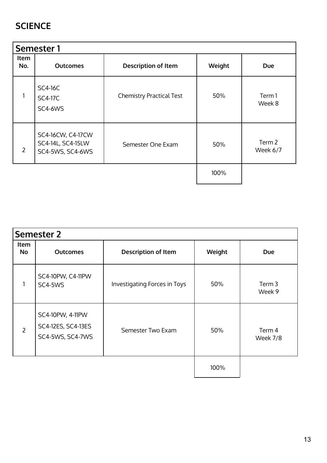## **SCIENCE**

| Semester 1     |                                                            |                                 |        |                    |  |  |
|----------------|------------------------------------------------------------|---------------------------------|--------|--------------------|--|--|
| Item<br>No.    | <b>Outcomes</b>                                            | <b>Description of Item</b>      | Weight | Due                |  |  |
|                | <b>SC4-16C</b><br><b>SC4-17C</b><br>SC4-6WS                | <b>Chemistry Practical Test</b> | 50%    | Term1<br>Week 8    |  |  |
| $\overline{2}$ | SC4-16CW, C4-17CW<br>SC4-14L, SC4-15LW<br>SC4-5WS, SC4-6WS | Semester One Exam               | 50%    | Term 2<br>Week 6/7 |  |  |
|                |                                                            |                                 | 100%   |                    |  |  |

|            | <b>Semester 2</b>                                          |                              |        |                    |  |  |  |
|------------|------------------------------------------------------------|------------------------------|--------|--------------------|--|--|--|
| Item<br>No | <b>Outcomes</b>                                            | <b>Description of Item</b>   | Weight | Due                |  |  |  |
|            | SC4-10PW, C4-11PW<br>SC4-5WS                               | Investigating Forces in Toys | 50%    | Term 3<br>Week 9   |  |  |  |
| 2          | SC4-10PW, 4-11PW<br>SC4-12ES, SC4-13ES<br>SC4-5WS, SC4-7WS | Semester Two Exam            | 50%    | Term 4<br>Week 7/8 |  |  |  |
|            |                                                            |                              | 100%   |                    |  |  |  |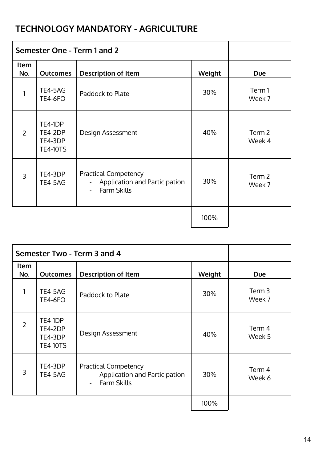# **TECHNOLOGY MANDATORY - AGRICULTURE**

| Semester One - Term 1 and 2 |                                                  |                                                                                                                 |        |                             |
|-----------------------------|--------------------------------------------------|-----------------------------------------------------------------------------------------------------------------|--------|-----------------------------|
| Item<br>No.                 | <b>Outcomes</b>                                  | <b>Description of Item</b>                                                                                      | Weight | <b>Due</b>                  |
| 1                           | TE4-5AG<br><b>TE4-6FO</b>                        | Paddock to Plate                                                                                                | 30%    | Term1<br>Week 7             |
| $\overline{2}$              | TE4-1DP<br>TE4-2DP<br>TE4-3DP<br><b>TE4-10TS</b> | Design Assessment                                                                                               | 40%    | Term <sub>2</sub><br>Week 4 |
| $\overline{3}$              | TE4-3DP<br>TE4-5AG                               | <b>Practical Competency</b><br>Application and Participation<br>$\frac{1}{2}$<br><b>Farm Skills</b><br>$\equiv$ | 30%    | Term <sub>2</sub><br>Week 7 |
|                             |                                                  |                                                                                                                 | 100%   |                             |

| Semester Two - Term 3 and 4 |                                                  |                                                                                                                             |        |                             |
|-----------------------------|--------------------------------------------------|-----------------------------------------------------------------------------------------------------------------------------|--------|-----------------------------|
| <b>Item</b><br>No.          | <b>Outcomes</b>                                  | <b>Description of Item</b>                                                                                                  | Weight | <b>Due</b>                  |
| 1                           | TE4-5AG<br><b>TE4-6FO</b>                        | Paddock to Plate                                                                                                            | 30%    | Term <sub>3</sub><br>Week 7 |
| $\overline{2}$              | TE4-1DP<br>TE4-2DP<br>TE4-3DP<br><b>TE4-10TS</b> | Design Assessment                                                                                                           | 40%    | Term 4<br>Week 5            |
| 3                           | TE4-3DP<br>TE4-5AG                               | <b>Practical Competency</b><br><b>Application and Participation</b><br>$\blacksquare$<br><b>Farm Skills</b><br>$\mathbf{r}$ | 30%    | Term 4<br>Week 6            |
|                             |                                                  |                                                                                                                             | 100%   |                             |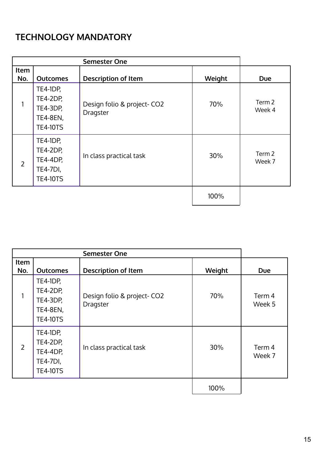# **TECHNOLOGY MANDATORY**

|                | <b>Semester One</b>                                                                         |                                         |        |                  |  |
|----------------|---------------------------------------------------------------------------------------------|-----------------------------------------|--------|------------------|--|
| Item<br>No.    | <b>Outcomes</b>                                                                             | <b>Description of Item</b>              | Weight | <b>Due</b>       |  |
|                | <b>TE4-1DP,</b><br><b>TE4-2DP,</b><br><b>TE4-3DP,</b><br><b>TE4-8EN,</b><br><b>TE4-10TS</b> | Design folio & project- CO2<br>Dragster | 70%    | Term 2<br>Week 4 |  |
| $\overline{2}$ | <b>TE4-1DP,</b><br><b>TE4-2DP,</b><br><b>TE4-4DP,</b><br><b>TE4-7DI,</b><br><b>TE4-10TS</b> | In class practical task                 | 30%    | Term 2<br>Week 7 |  |
|                |                                                                                             |                                         | 100%   |                  |  |

| <b>Item</b><br>No. | <b>Outcomes</b>                                                                             | <b>Description of Item</b>              | Weight | <b>Due</b>       |
|--------------------|---------------------------------------------------------------------------------------------|-----------------------------------------|--------|------------------|
| 1                  | <b>TE4-1DP,</b><br><b>TE4-2DP,</b><br><b>TE4-3DP,</b><br><b>TE4-8EN,</b><br><b>TE4-10TS</b> | Design folio & project- CO2<br>Dragster | 70%    | Term 4<br>Week 5 |
| $\overline{2}$     | TE4-1DP,<br><b>TE4-2DP,</b><br><b>TE4-4DP,</b><br><b>TE4-7DI,</b><br><b>TE4-10TS</b>        | In class practical task                 | 30%    | Term 4<br>Week 7 |
|                    |                                                                                             |                                         | 100%   |                  |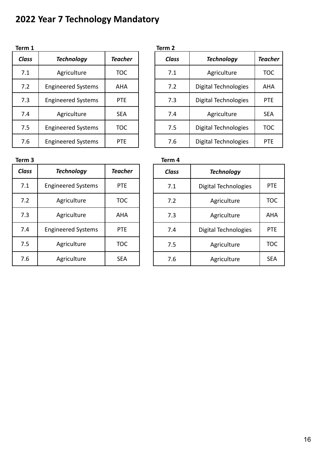# **2022 Year 7 Technology Mandatory**

| Term 1       |                           |                | Term 2 |
|--------------|---------------------------|----------------|--------|
| <b>Class</b> | <b>Technology</b>         | <b>Teacher</b> | Clas   |
| 7.1          | Agriculture               | <b>TOC</b>     | 7.1    |
| 7.2          | <b>Engineered Systems</b> | <b>AHA</b>     | 7.2    |
| 7.3          | <b>Engineered Systems</b> | <b>PTE</b>     | 7.3    |
| 7.4          | Agriculture               | <b>SEA</b>     | 7.4    |
| 7.5          | <b>Engineered Systems</b> | <b>TOC</b>     | 7.5    |
| 7.6          | <b>Engineered Systems</b> | <b>PTE</b>     | 7.6    |

| erm 1 |                           |                | Term 2       |                      |                |
|-------|---------------------------|----------------|--------------|----------------------|----------------|
| Class | <b>Technology</b>         | <b>Teacher</b> | <b>Class</b> | <b>Technology</b>    | <b>Teacher</b> |
| 7.1   | Agriculture               | <b>TOC</b>     | 7.1          | Agriculture          | <b>TOC</b>     |
| 7.2   | <b>Engineered Systems</b> | <b>AHA</b>     | 7.2          | Digital Technologies | AHA            |
| 7.3   | <b>Engineered Systems</b> | <b>PTE</b>     | 7.3          | Digital Technologies | <b>PTE</b>     |
| 7.4   | Agriculture               | <b>SEA</b>     | 7.4          | Agriculture          | <b>SEA</b>     |
| 7.5   | <b>Engineered Systems</b> | <b>TOC</b>     | 7.5          | Digital Technologies | <b>TOC</b>     |
| 7.6   | <b>Engineered Systems</b> | <b>PTE</b>     | 7.6          | Digital Technologies | <b>PTE</b>     |

**Term 3** 

| <b>Class</b> | <b>Technology</b>         | <b>Teacher</b> | <b>Class</b> | <b>Technology</b> |
|--------------|---------------------------|----------------|--------------|-------------------|
| 7.1          | <b>Engineered Systems</b> | <b>PTE</b>     | 7.1          | Digital Technolo  |
| 7.2          | Agriculture               | <b>TOC</b>     | 7.2          | Agriculture       |
| 7.3          | Agriculture               | <b>AHA</b>     | 7.3          | Agriculture       |
| 7.4          | <b>Engineered Systems</b> | <b>PTE</b>     | 7.4          | Digital Technolo  |
| 7.5          | Agriculture               | <b>TOC</b>     | 7.5          | Agriculture       |
| 7.6          | Agriculture               | <b>SEA</b>     | 7.6          | Agriculture       |

| rm 3  |                           |                | Term 4                            |                      |            |  |
|-------|---------------------------|----------------|-----------------------------------|----------------------|------------|--|
| :lass | <b>Technology</b>         | <b>Teacher</b> | <b>Class</b><br><b>Technology</b> |                      |            |  |
| 7.1   | <b>Engineered Systems</b> | <b>PTE</b>     | 7.1                               | Digital Technologies | <b>PTE</b> |  |
| 7.2   | Agriculture               | <b>TOC</b>     | 7.2                               | Agriculture          | <b>TOC</b> |  |
| 7.3   | Agriculture               | <b>AHA</b>     | 7.3                               | Agriculture          | <b>AHA</b> |  |
| 7.4   | <b>Engineered Systems</b> | <b>PTE</b>     | 7.4                               | Digital Technologies | <b>PTE</b> |  |
| 7.5   | Agriculture               | <b>TOC</b>     | 7.5                               | Agriculture          | <b>TOC</b> |  |
| 7.6   | Agriculture               | <b>SEA</b>     | 7.6                               | Agriculture          | <b>SEA</b> |  |